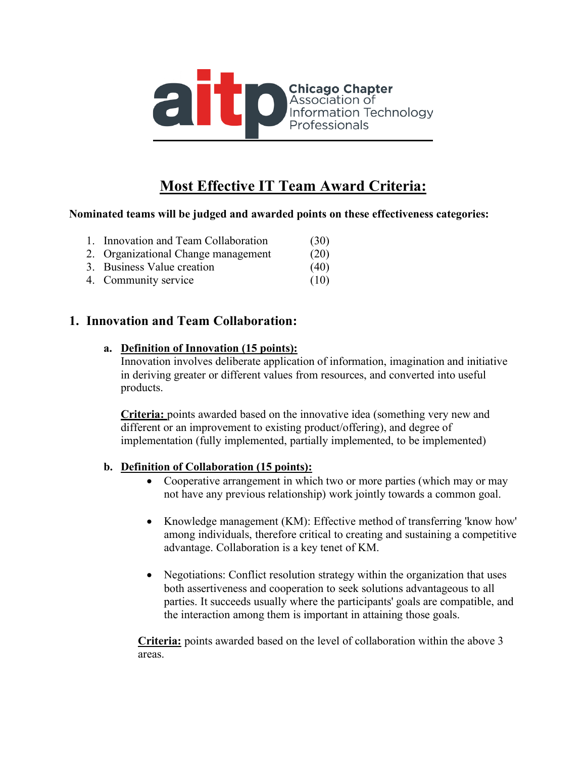

# **Most Effective IT Team Award Criteria:**

#### **Nominated teams will be judged and awarded points on these effectiveness categories:**

| 1. Innovation and Team Collaboration | (30) |
|--------------------------------------|------|
| 2. Organizational Change management  | (20) |
| 3. Business Value creation           | (40) |
| 4. Community service                 | (10) |

## **1. Innovation and Team Collaboration:**

#### **a. Definition of Innovation (15 points):**

Innovation involves deliberate application of information, imagination and initiative in deriving greater or different values from resources, and converted into useful products.

**Criteria:** points awarded based on the innovative idea (something very new and different or an improvement to existing product/offering), and degree of implementation (fully implemented, partially implemented, to be implemented)

### **b. Definition of Collaboration (15 points):**

- Cooperative arrangement in which two or more parties (which may or may not have any previous relationship) work jointly towards a common goal.
- Knowledge management (KM): Effective method of transferring 'know how' among individuals, therefore critical to creating and sustaining a competitive advantage. Collaboration is a key tenet of KM.
- Negotiations: Conflict resolution strategy within the organization that uses both assertiveness and cooperation to seek solutions advantageous to all parties. It succeeds usually where the participants' goals are compatible, and the interaction among them is important in attaining those goals.

**Criteria:** points awarded based on the level of collaboration within the above 3 areas.